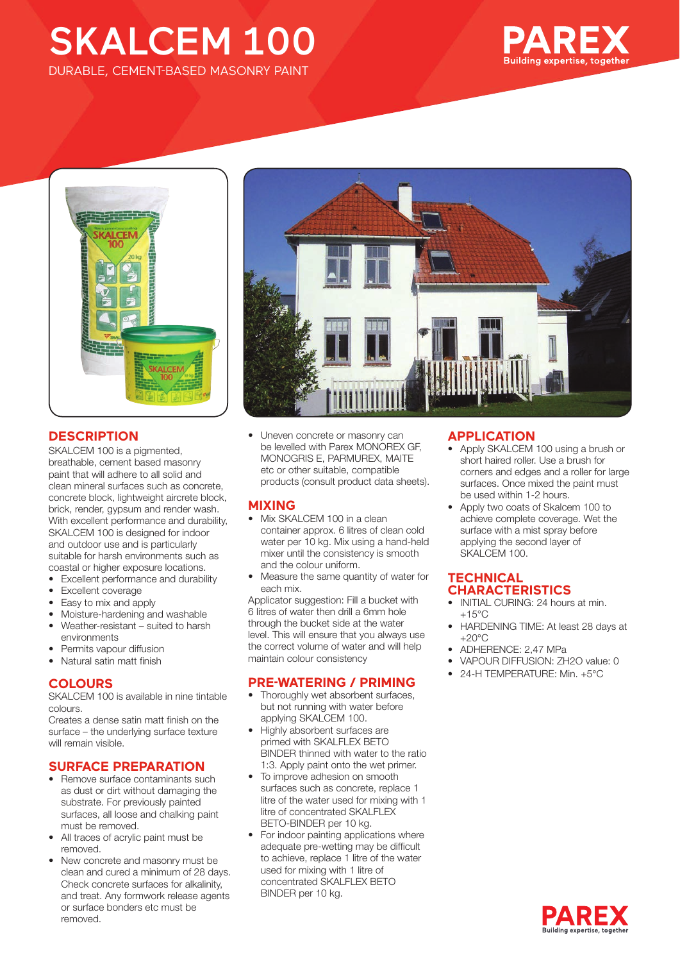## SKALCEM 100 DURABLE, CEMENT-BASED MASONRY PAINT





## **DESCRIPTION**

SKALCEM 100 is a pigmented, breathable, cement based masonry paint that will adhere to all solid and clean mineral surfaces such as concrete, concrete block, lightweight aircrete block, brick, render, gypsum and render wash. With excellent performance and durability. SKALCEM 100 is designed for indoor and outdoor use and is particularly suitable for harsh environments such as coastal or higher exposure locations.

• Excellent performance and durability

- Excellent coverage
- Easy to mix and apply
- Moisture-hardening and washable
- Weather-resistant suited to harsh environments
- Permits vapour diffusion
- Natural satin matt finish

## **COLOURS**

SKALCEM 100 is available in nine tintable colours.

Creates a dense satin matt finish on the surface – the underlying surface texture will remain visible.

## **SURFACE PREPARATION**

- Remove surface contaminants such as dust or dirt without damaging the substrate. For previously painted surfaces, all loose and chalking paint must be removed.
- All traces of acrylic paint must be removed.
- New concrete and masonry must be clean and cured a minimum of 28 days. Check concrete surfaces for alkalinity, and treat. Any formwork release agents or surface bonders etc must be removed.



• Uneven concrete or masonry can be levelled with Parex MONOREX GF, MONOGRIS E, PARMUREX, MAITE etc or other suitable, compatible products (consult product data sheets).

#### **MIXING**

- Mix SKALCEM 100 in a clean container approx. 6 litres of clean cold water per 10 kg. Mix using a hand-held mixer until the consistency is smooth and the colour uniform.
- Measure the same quantity of water for each mix.

Applicator suggestion: Fill a bucket with 6 litres of water then drill a 6mm hole through the bucket side at the water level. This will ensure that you always use the correct volume of water and will help maintain colour consistency

## **PRE-WATERING / PRIMING**

- Thoroughly wet absorbent surfaces, but not running with water before applying SKALCEM 100.
- Highly absorbent surfaces are primed with SKALFLEX BETO BINDER thinned with water to the ratio 1:3. Apply paint onto the wet primer.
- To improve adhesion on smooth surfaces such as concrete, replace 1 litre of the water used for mixing with 1 litre of concentrated SKALFLEX BETO-BINDER per 10 kg.
- For indoor painting applications where adequate pre-wetting may be difficult to achieve, replace 1 litre of the water used for mixing with 1 litre of concentrated SKALFLEX BETO BINDER per 10 kg.

## **APPLICATION**

- Apply SKALCEM 100 using a brush or short haired roller. Use a brush for corners and edges and a roller for large surfaces. Once mixed the paint must be used within 1-2 hours.
- Apply two coats of Skalcem 100 to achieve complete coverage. Wet the surface with a mist spray before applying the second layer of SKALCEM 100.

## **TECHNICAL CHARACTERISTICS**

- INITIAL CURING: 24 hours at min.  $+15^{\circ}$ C
- HARDENING TIME: At least 28 days at  $+20^{\circ}$ C
- ADHERENCE: 2,47 MPa
- VAPOUR DIFFUSION: ZH2O value: 0
- 24-H TEMPERATURE: Min. +5°C